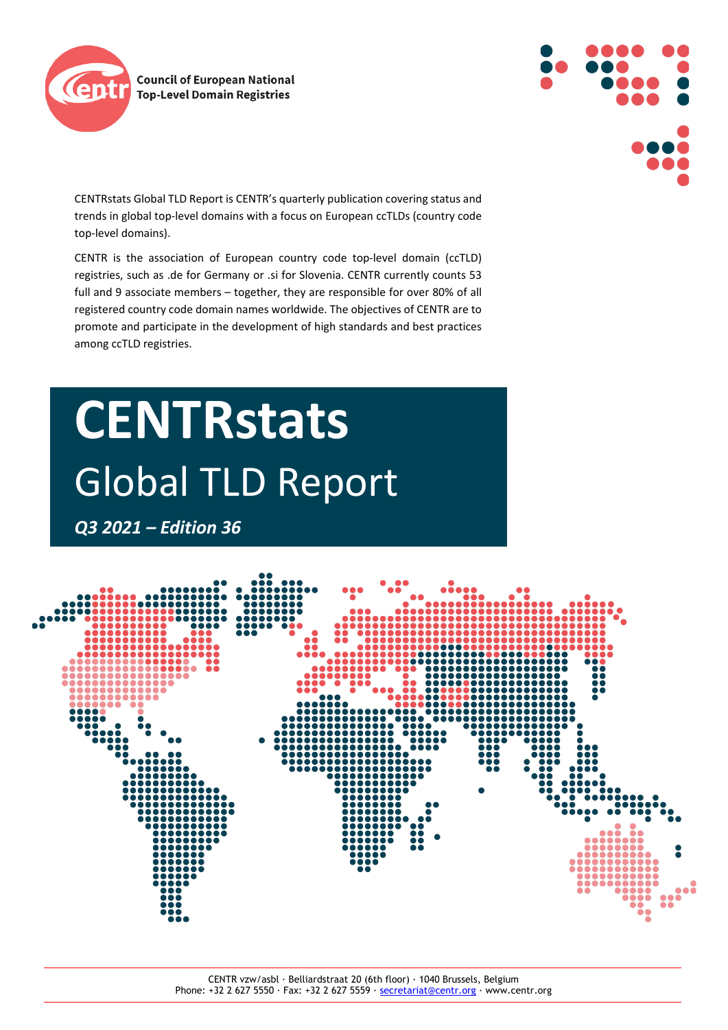



CENTRstats Global TLD Report is CENTR's quarterly publication covering status and trends in global top-level domains with a focus on European ccTLDs (country code top-level domains).

CENTR is the association of European country code top-level domain (ccTLD) registries, such as .de for Germany or .si for Slovenia. CENTR currently counts 53 full and 9 associate members – together, they are responsible for over 80% of all registered country code domain names worldwide. The objectives of CENTR are to promote and participate in the development of high standards and best practices among ccTLD registries.

# **CENTRstats** Global TLD Report

*Q3 2021 – Edition 36*

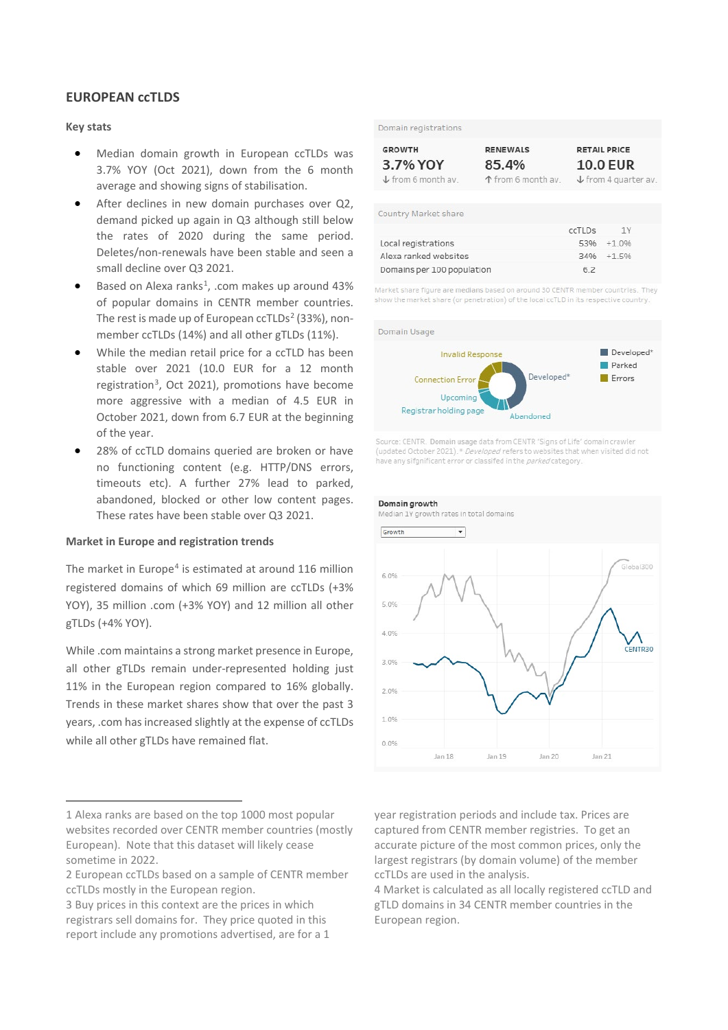# **EUROPEAN ccTLDS**

# **Key stats**

- Median domain growth in European ccTLDs was 3.7% YOY (Oct 2021), down from the 6 month average and showing signs of stabilisation.
- After declines in new domain purchases over Q2, demand picked up again in Q3 although still below the rates of 2020 during the same period. Deletes/non-renewals have been stable and seen a small decline over Q3 2021.
- $\bullet$  Based on Alexa ranks<sup>[1](#page-1-0)</sup>, .com makes up around 43% of popular domains in CENTR member countries. The rest is made up of European  $ccTLDs<sup>2</sup>$  $ccTLDs<sup>2</sup>$  $ccTLDs<sup>2</sup>$  (33%), nonmember ccTLDs (14%) and all other gTLDs (11%).
- While the median retail price for a ccTLD has been stable over 2021 (10.0 EUR for a 12 month registration<sup>[3](#page-1-2)</sup>, Oct 2021), promotions have become more aggressive with a median of 4.5 EUR in October 2021, down from 6.7 EUR at the beginning of the year.
- 28% of ccTLD domains queried are broken or have no functioning content (e.g. HTTP/DNS errors, timeouts etc). A further 27% lead to parked, abandoned, blocked or other low content pages. These rates have been stable over Q3 2021.

# **Market in Europe and registration trends**

The market in Europe<sup>[4](#page-1-3)</sup> is estimated at around 116 million registered domains of which 69 million are ccTLDs (+3% YOY), 35 million .com (+3% YOY) and 12 million all other gTLDs (+4% YOY).

While .com maintains a strong market presence in Europe, all other gTLDs remain under-represented holding just 11% in the European region compared to 16% globally. Trends in these market shares show that over the past 3 years, .com has increased slightly at the expense of ccTLDs while all other gTLDs have remained flat.

Domain registrations

| <b>GROWTH</b>                 | <b>RENEWALS</b>    | <b>RETAIL PRICE</b>             |
|-------------------------------|--------------------|---------------------------------|
| 3.7% YOY                      | 85.4%              | <b>10.0 EUR</b>                 |
| $\downarrow$ from 6 month av. | ↑ from 6 month av. | $\downarrow$ from 4 quarter av. |

Country Market share

|                            | ccTLDs | 1Y            |
|----------------------------|--------|---------------|
| Local registrations        |        | $5396 + 1096$ |
| Alexa ranked websites      |        | $3496 + 1596$ |
| Domains per 100 population | 62     |               |

Market share figure are medians based on around 30 CENTR member countries. They show the market share (or penetration) of the local ccTLD in its respective country.



Source: CENTR Domain usage data from CENTR 'Signs of Life' domain crawler (updated October 2021). \* Developed refers to websites that when visited did not have any sifgnificant error or classifed in the *parked* category.



year registration periods and include tax. Prices are captured from CENTR member registries. To get an accurate picture of the most common prices, only the largest registrars (by domain volume) of the member ccTLDs are used in the analysis.

4 Market is calculated as all locally registered ccTLD and gTLD domains in 34 CENTR member countries in the European region.

<span id="page-1-0"></span><sup>1</sup> Alexa ranks are based on the top 1000 most popular websites recorded over CENTR member countries (mostly European). Note that this dataset will likely cease sometime in 2022.

<span id="page-1-3"></span><span id="page-1-1"></span><sup>2</sup> European ccTLDs based on a sample of CENTR member ccTLDs mostly in the European region.

<span id="page-1-2"></span><sup>3</sup> Buy prices in this context are the prices in which registrars sell domains for. They price quoted in this report include any promotions advertised, are for a 1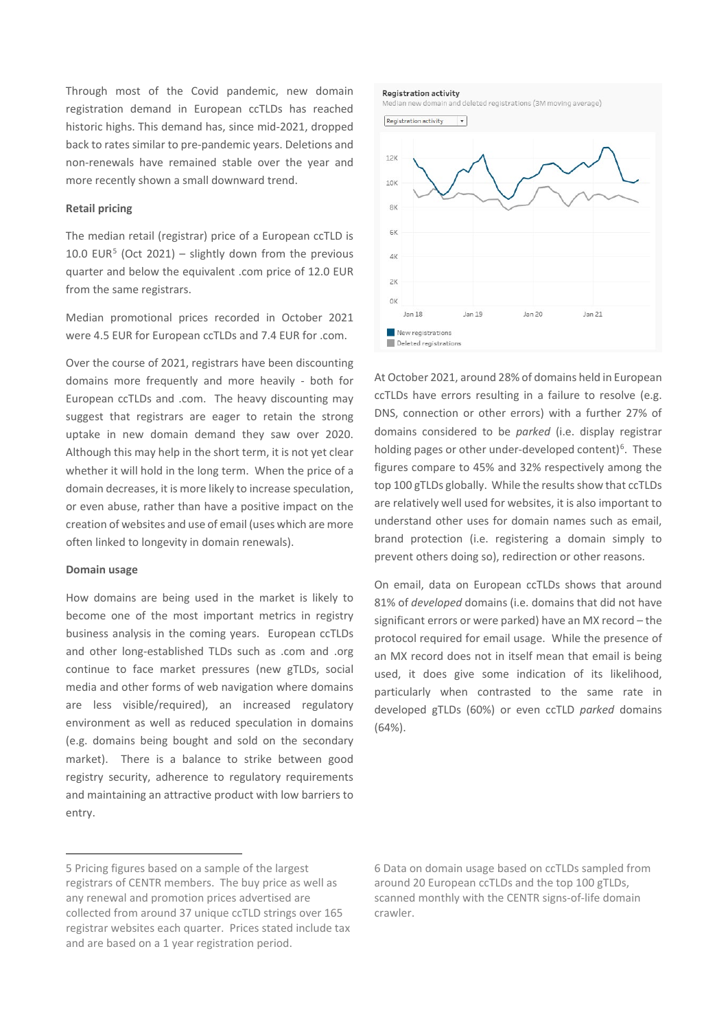Through most of the Covid pandemic, new domain registration demand in European ccTLDs has reached historic highs. This demand has, since mid-2021, dropped back to rates similar to pre-pandemic years. Deletions and non-renewals have remained stable over the year and more recently shown a small downward trend.

#### **Retail pricing**

The median retail (registrar) price of a European ccTLD is 10.0 EUR<sup>[5](#page-2-0)</sup> (Oct 2021) – slightly down from the previous quarter and below the equivalent .com price of 12.0 EUR from the same registrars.

Median promotional prices recorded in October 2021 were 4.5 EUR for European ccTLDs and 7.4 EUR for .com.

Over the course of 2021, registrars have been discounting domains more frequently and more heavily - both for European ccTLDs and .com. The heavy discounting may suggest that registrars are eager to retain the strong uptake in new domain demand they saw over 2020. Although this may help in the short term, it is not yet clear whether it will hold in the long term. When the price of a domain decreases, it is more likely to increase speculation, or even abuse, rather than have a positive impact on the creation of websites and use of email (uses which are more often linked to longevity in domain renewals).

#### **Domain usage**

How domains are being used in the market is likely to become one of the most important metrics in registry business analysis in the coming years. European ccTLDs and other long-established TLDs such as .com and .org continue to face market pressures (new gTLDs, social media and other forms of web navigation where domains are less visible/required), an increased regulatory environment as well as reduced speculation in domains (e.g. domains being bought and sold on the secondary market). There is a balance to strike between good registry security, adherence to regulatory requirements and maintaining an attractive product with low barriers to entry.

Median new domain and deleted registrations (3M moving average)



At October 2021, around 28% of domains held in European ccTLDs have errors resulting in a failure to resolve (e.g. DNS, connection or other errors) with a further 27% of domains considered to be *parked* (i.e. display registrar holding pages or other under-developed content)<sup>[6](#page-2-0)</sup>. These figures compare to 45% and 32% respectively among the top 100 gTLDs globally. While the results show that ccTLDs are relatively well used for websites, it is also important to understand other uses for domain names such as email, brand protection (i.e. registering a domain simply to prevent others doing so), redirection or other reasons.

On email, data on European ccTLDs shows that around 81% of *developed* domains (i.e. domains that did not have significant errors or were parked) have an MX record – the protocol required for email usage. While the presence of an MX record does not in itself mean that email is being used, it does give some indication of its likelihood, particularly when contrasted to the same rate in developed gTLDs (60%) or even ccTLD *parked* domains (64%).

6 Data on domain usage based on ccTLDs sampled from around 20 European ccTLDs and the top 100 gTLDs, scanned monthly with the CENTR signs-of-life domain crawler.

**Registration activity** 

<span id="page-2-0"></span><sup>5</sup> Pricing figures based on a sample of the largest registrars of CENTR members. The buy price as well as any renewal and promotion prices advertised are collected from around 37 unique ccTLD strings over 165 registrar websites each quarter. Prices stated include tax and are based on a 1 year registration period.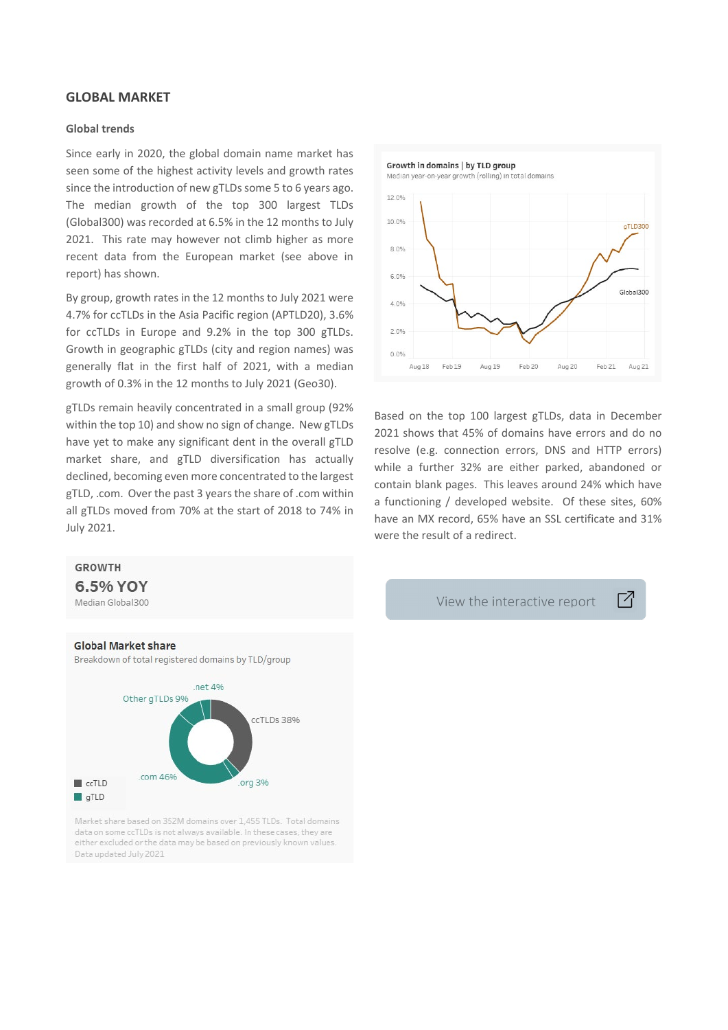## **GLOBAL MARKET**

## **Global trends**

Since early in 2020, the global domain name market has seen some of the highest activity levels and growth rates since the introduction of new gTLDs some 5 to 6 years ago. The median growth of the top 300 largest TLDs (Global300) was recorded at 6.5% in the 12 months to July 2021. This rate may however not climb higher as more recent data from the European market (see above in report) has shown.

By group, growth rates in the 12 months to July 2021 were 4.7% for ccTLDs in the Asia Pacific region (APTLD20), 3.6% for ccTLDs in Europe and 9.2% in the top 300 gTLDs. Growth in geographic gTLDs (city and region names) was generally flat in the first half of 2021, with a median growth of 0.3% in the 12 months to July 2021 (Geo30).

gTLDs remain heavily concentrated in a small group (92% within the top 10) and show no sign of change. New gTLDs have yet to make any significant dent in the overall gTLD market share, and gTLD diversification has actually declined, becoming even more concentrated to the largest gTLD, .com. Over the past 3 years the share of .com within all gTLDs moved from 70% at the start of 2018 to 74% in July 2021.



Based on the top 100 largest gTLDs, data in December 2021 shows that 45% of domains have errors and do no resolve (e.g. connection errors, DNS and HTTP errors) while a further 32% are either parked, abandoned or contain blank pages. This leaves around 24% which have a functioning / developed website. Of these sites, 60% have an MX record, 65% have an SSL certificate and 31% were the result of a redirect.